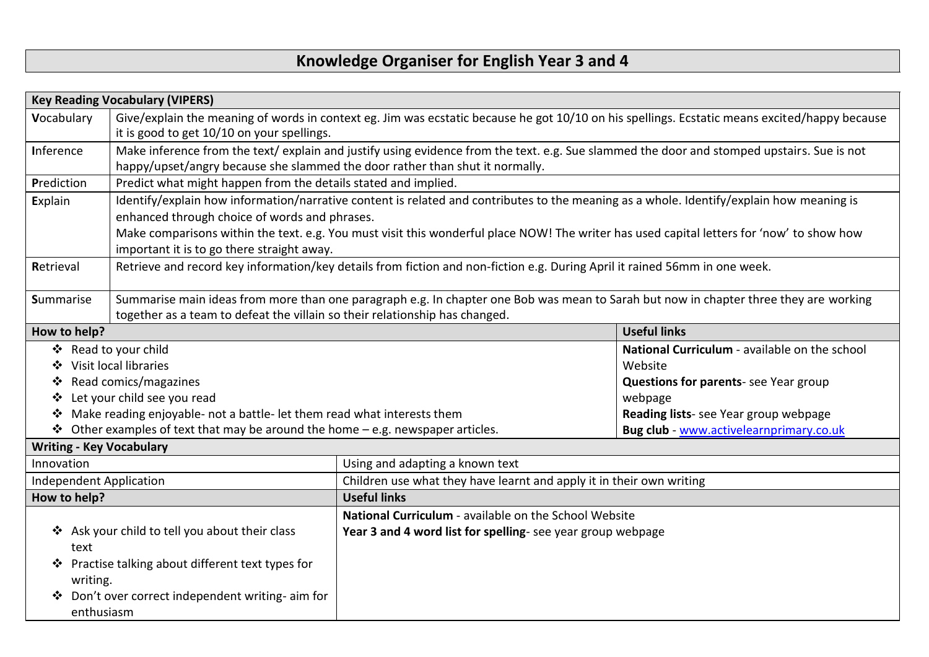## **Knowledge Organiser for English Year 3 and 4**

| <b>Key Reading Vocabulary (VIPERS)</b>                                                    |                                                                                                                                       |                                                                                                                                               |                                               |  |
|-------------------------------------------------------------------------------------------|---------------------------------------------------------------------------------------------------------------------------------------|-----------------------------------------------------------------------------------------------------------------------------------------------|-----------------------------------------------|--|
| Vocabulary                                                                                |                                                                                                                                       | Give/explain the meaning of words in context eg. Jim was ecstatic because he got 10/10 on his spellings. Ecstatic means excited/happy because |                                               |  |
|                                                                                           | it is good to get 10/10 on your spellings.                                                                                            |                                                                                                                                               |                                               |  |
| Inference                                                                                 |                                                                                                                                       | Make inference from the text/explain and justify using evidence from the text. e.g. Sue slammed the door and stomped upstairs. Sue is not     |                                               |  |
|                                                                                           | happy/upset/angry because she slammed the door rather than shut it normally.                                                          |                                                                                                                                               |                                               |  |
| Prediction                                                                                | Predict what might happen from the details stated and implied.                                                                        |                                                                                                                                               |                                               |  |
| Explain<br>enhanced through choice of words and phrases.                                  |                                                                                                                                       | Identify/explain how information/narrative content is related and contributes to the meaning as a whole. Identify/explain how meaning is      |                                               |  |
|                                                                                           |                                                                                                                                       | Make comparisons within the text. e.g. You must visit this wonderful place NOW! The writer has used capital letters for 'now' to show how     |                                               |  |
| important it is to go there straight away.                                                |                                                                                                                                       |                                                                                                                                               |                                               |  |
| Retrieval                                                                                 |                                                                                                                                       | Retrieve and record key information/key details from fiction and non-fiction e.g. During April it rained 56mm in one week.                    |                                               |  |
|                                                                                           |                                                                                                                                       |                                                                                                                                               |                                               |  |
| <b>Summarise</b>                                                                          | Summarise main ideas from more than one paragraph e.g. In chapter one Bob was mean to Sarah but now in chapter three they are working |                                                                                                                                               |                                               |  |
| together as a team to defeat the villain so their relationship has changed.               |                                                                                                                                       |                                                                                                                                               |                                               |  |
| How to help?                                                                              |                                                                                                                                       |                                                                                                                                               | <b>Useful links</b>                           |  |
|                                                                                           | ❖ Read to your child                                                                                                                  |                                                                                                                                               | National Curriculum - available on the school |  |
|                                                                                           | ❖ Visit local libraries                                                                                                               |                                                                                                                                               | Website                                       |  |
| $\cdot$                                                                                   | Read comics/magazines                                                                                                                 |                                                                                                                                               | <b>Questions for parents-see Year group</b>   |  |
| Let your child see you read<br>❖                                                          |                                                                                                                                       |                                                                                                                                               | webpage                                       |  |
| Make reading enjoyable- not a battle- let them read what interests them<br>❖              |                                                                                                                                       |                                                                                                                                               | Reading lists- see Year group webpage         |  |
| $\triangle$ Other examples of text that may be around the home – e.g. newspaper articles. |                                                                                                                                       |                                                                                                                                               | Bug club - www.activelearnprimary.co.uk       |  |
| <b>Writing - Key Vocabulary</b>                                                           |                                                                                                                                       |                                                                                                                                               |                                               |  |
| Innovation                                                                                |                                                                                                                                       | Using and adapting a known text                                                                                                               |                                               |  |
| <b>Independent Application</b>                                                            |                                                                                                                                       | Children use what they have learnt and apply it in their own writing                                                                          |                                               |  |
| How to help?                                                                              |                                                                                                                                       | <b>Useful links</b>                                                                                                                           |                                               |  |
|                                                                                           |                                                                                                                                       | National Curriculum - available on the School Website                                                                                         |                                               |  |
| ❖ Ask your child to tell you about their class                                            |                                                                                                                                       | Year 3 and 4 word list for spelling-see year group webpage                                                                                    |                                               |  |
| text                                                                                      |                                                                                                                                       |                                                                                                                                               |                                               |  |
|                                                                                           | ❖ Practise talking about different text types for                                                                                     |                                                                                                                                               |                                               |  |
| writing.                                                                                  |                                                                                                                                       |                                                                                                                                               |                                               |  |
|                                                                                           | Don't over correct independent writing- aim for                                                                                       |                                                                                                                                               |                                               |  |
| enthusiasm                                                                                |                                                                                                                                       |                                                                                                                                               |                                               |  |